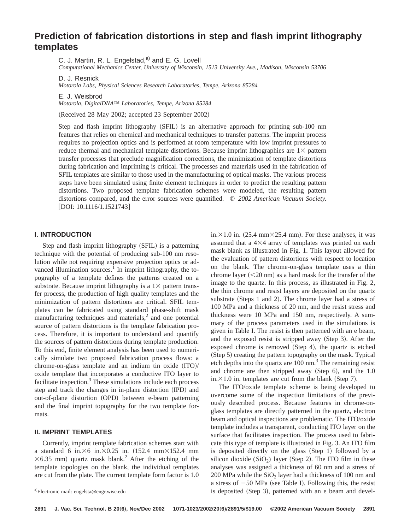# **Prediction of fabrication distortions in step and flash imprint lithography templates**

C. J. Martin, R. L. Engelstad,<sup>a)</sup> and E. G. Lovell

*Computational Mechanics Center, University of Wisconsin, 1513 University Ave., Madison, Wisconsin 53706*

D. J. Resnick

*Motorola Labs, Physical Sciences Research Laboratories, Tempe, Arizona 85284*

E. J. Weisbrod

*Motorola, DigitalDNA™ Laboratories, Tempe, Arizona 85284*

(Received 28 May 2002; accepted 23 September 2002)

Step and flash imprint lithography (SFIL) is an alternative approach for printing sub-100 nm features that relies on chemical and mechanical techniques to transfer patterns. The imprint process requires no projection optics and is performed at room temperature with low imprint pressures to reduce thermal and mechanical template distortions. Because imprint lithographies are  $1\times$  pattern transfer processes that preclude magnification corrections, the minimization of template distortions during fabrication and imprinting is critical. The processes and materials used in the fabrication of SFIL templates are similar to those used in the manufacturing of optical masks. The various process steps have been simulated using finite element techniques in order to predict the resulting pattern distortions. Two proposed template fabrication schemes were modeled, the resulting pattern distortions compared, and the error sources were quantified. © *2002 American Vacuum Society.* [DOI: 10.1116/1.1521743]

#### **I. INTRODUCTION**

Step and flash imprint lithography (SFIL) is a patterning technique with the potential of producing sub-100 nm resolution while not requiring expensive projection optics or advanced illumination sources.<sup>1</sup> In imprint lithography, the topography of a template defines the patterns created on a substrate. Because imprint lithography is a  $1\times$  pattern transfer process, the production of high quality templates and the minimization of pattern distortions are critical. SFIL templates can be fabricated using standard phase-shift mask manufacturing techniques and materials, $\frac{2}{3}$  and one potential source of pattern distortions is the template fabrication process. Therefore, it is important to understand and quantify the sources of pattern distortions during template production. To this end, finite element analysis has been used to numerically simulate two proposed fabrication process flows: a chrome-on-glass template and an indium tin oxide  $(ITO)/$ oxide template that incorporates a conductive ITO layer to facilitate inspection. $3$  These simulations include each process step and track the changes in in-plane distortion (IPD) and out-of-plane distortion (OPD) between e-beam patterning and the final imprint topography for the two template formats.

## **II. IMPRINT TEMPLATES**

Currently, imprint template fabrication schemes start with a standard 6 in. $\times$ 6 in. $\times$ 0.25 in. (152.4 mm $\times$ 152.4 mm  $\times$ 6.35 mm) quartz mask blank.<sup>2</sup> After the etching of the template topologies on the blank, the individual templates are cut from the plate. The current template form factor is 1.0 in. $\times$ 1.0 in. (25.4 mm $\times$ 25.4 mm). For these analyses, it was assumed that a  $4\times4$  array of templates was printed on each mask blank as illustrated in Fig. 1. This layout allowed for the evaluation of pattern distortions with respect to location on the blank. The chrome-on-glass template uses a thin chrome layer  $(<20 \text{ nm}$ ) as a hard mask for the transfer of the image to the quartz. In this process, as illustrated in Fig. 2, the thin chrome and resist layers are deposited on the quartz substrate (Steps 1 and 2). The chrome layer had a stress of 100 MPa and a thickness of 20 nm, and the resist stress and thickness were 10 MPa and 150 nm, respectively. A summary of the process parameters used in the simulations is given in Table I. The resist is then patterned with an e beam, and the exposed resist is stripped away  $(Sten 3)$ . After the exposed chrome is removed  $(Sten 4)$ , the quartz is etched (Step 5) creating the pattern topography on the mask. Typical etch depths into the quartz are  $100 \text{ nm}^3$ . The remaining resist and chrome are then stripped away (Step  $6$ ), and the 1.0 in. $\times$ 1.0 in. templates are cut from the blank (Step 7).

The ITO/oxide template scheme is being developed to overcome some of the inspection limitations of the previously described process. Because features in chrome-onglass templates are directly patterned in the quartz, electron beam and optical inspections are problematic. The ITO/oxide template includes a transparent, conducting ITO layer on the surface that facilitates inspection. The process used to fabricate this type of template is illustrated in Fig. 3. An ITO film is deposited directly on the glass  $(Step 1)$  followed by a silicon dioxide  $(SiO<sub>2</sub>)$  layer  $(Step 2)$ . The ITO film in these analyses was assigned a thickness of 60 nm and a stress of 200 MPa while the  $SiO<sub>2</sub>$  layer had a thickness of 100 nm and a stress of  $-50$  MPa (see Table I). Following this, the resist is deposited  $(Sten 3)$ , patterned with an e beam and devel-

a)Electronic mail: engelsta@engr.wisc.edu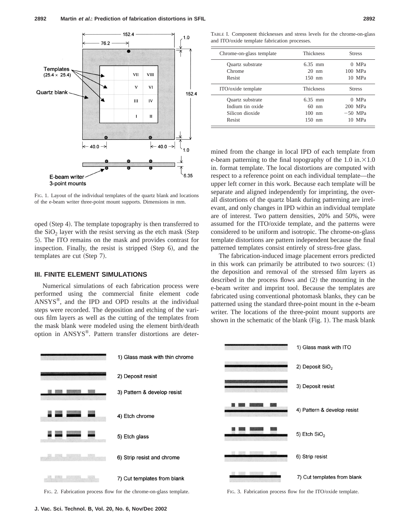

FIG. 1. Layout of the individual templates of the quartz blank and locations of the e-beam writer three-point mount supports. Dimensions in mm.

oped (Step 4). The template topography is then transferred to the  $SiO<sub>2</sub>$  layer with the resist serving as the etch mask (Step 5). The ITO remains on the mask and provides contrast for inspection. Finally, the resist is stripped  $(S_{top} 6)$ , and the templates are cut (Step 7).

#### **III. FINITE ELEMENT SIMULATIONS**

Numerical simulations of each fabrication process were performed using the commercial finite element code ANSYS®, and the IPD and OPD results at the individual steps were recorded. The deposition and etching of the various film layers as well as the cutting of the templates from the mask blank were modeled using the element birth/death option in ANSYS®. Pattern transfer distortions are deter-

TABLE I. Component thicknesses and stress levels for the chrome-on-glass and ITO/oxide template fabrication processes.

| Chrome-on-glass template | <b>Thickness</b> | <b>Stress</b> |
|--------------------------|------------------|---------------|
| Quartz substrate         | $6.35$ mm        | 0 MPa         |
| Chrome                   | $20 \text{ nm}$  | 100 MPa       |
| Resist                   | $150$ nm         | 10 MPa        |
| ITO/oxide template       | <b>Thickness</b> | <b>Stress</b> |
| Quartz substrate         | $6.35$ mm        | $0$ MPa       |
| Indium tin oxide         | $60 \text{ nm}$  | 200 MPa       |
| Silicon dioxide          | $100 \text{ nm}$ | $-50$ MPa     |
| Resist                   | $150$ nm         | 10 MPa        |

mined from the change in local IPD of each template from e-beam patterning to the final topography of the 1.0 in. $\times$ 1.0 in. format template. The local distortions are computed with respect to a reference point on each individual template—the upper left corner in this work. Because each template will be separate and aligned independently for imprinting, the overall distortions of the quartz blank during patterning are irrelevant, and only changes in IPD within an individual template are of interest. Two pattern densities, 20% and 50%, were assumed for the ITO/oxide template, and the patterns were considered to be uniform and isotropic. The chrome-on-glass template distortions are pattern independent because the final patterned templates consist entirely of stress-free glass.

The fabrication-induced image placement errors predicted in this work can primarily be attributed to two sources:  $(1)$ the deposition and removal of the stressed film layers as described in the process flows and  $(2)$  the mounting in the e-beam writer and imprint tool. Because the templates are fabricated using conventional photomask blanks, they can be patterned using the standard three-point mount in the e-beam writer. The locations of the three-point mount supports are shown in the schematic of the blank  $(Fig. 1)$ . The mask blank

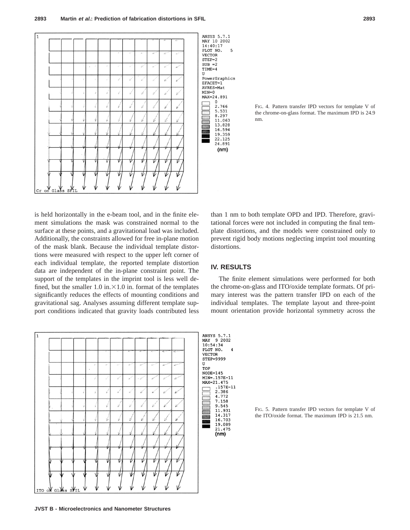





is held horizontally in the e-beam tool, and in the finite element simulations the mask was constrained normal to the surface at these points, and a gravitational load was included. Additionally, the constraints allowed for free in-plane motion of the mask blank. Because the individual template distortions were measured with respect to the upper left corner of each individual template, the reported template distortion data are independent of the in-plane constraint point. The support of the templates in the imprint tool is less well defined, but the smaller 1.0 in. $\times$ 1.0 in. format of the templates significantly reduces the effects of mounting conditions and gravitational sag. Analyses assuming different template support conditions indicated that gravity loads contributed less than 1 nm to both template OPD and IPD. Therefore, gravitational forces were not included in computing the final template distortions, and the models were constrained only to prevent rigid body motions neglecting imprint tool mounting distortions.

# **IV. RESULTS**

The finite element simulations were performed for both the chrome-on-glass and ITO/oxide template formats. Of primary interest was the pattern transfer IPD on each of the individual templates. The template layout and three-point mount orientation provide horizontal symmetry across the



FIG. 5. Pattern transfer IPD vectors for template V of the ITO/oxide format. The maximum IPD is 21.5 nm.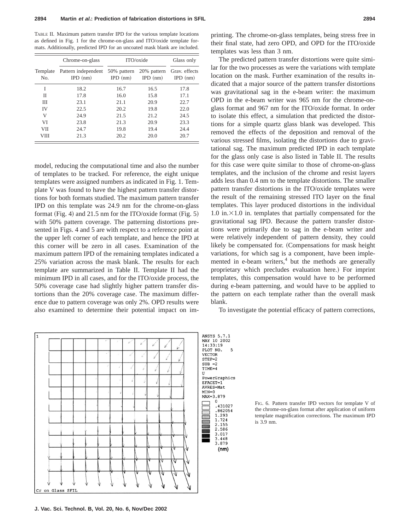TABLE II. Maximum pattern transfer IPD for the various template locations as defined in Fig. 1 for the chrome-on-glass and ITO/oxide template formats. Additionally, predicted IPD for an uncoated mask blank are included.

|                 | Chrome-on-glass                   | ITO/oxide                 |                           | Glass only                  |
|-----------------|-----------------------------------|---------------------------|---------------------------|-----------------------------|
| Template<br>No. | Pattern independent<br>$IPD$ (nm) | 50% pattern<br>$IPD$ (nm) | 20% pattern<br>$IPD$ (nm) | Gray, effects<br>$IPD$ (nm) |
| I               | 18.2                              | 16.7                      | 16.5                      | 17.8                        |
| Н               | 17.8                              | 16.0                      | 15.8                      | 17.1                        |
| IΙI             | 23.1                              | 21.1                      | 20.9                      | 22.7                        |
| IV              | 22.5                              | 20.2                      | 19.8                      | 22.0                        |
| V               | 24.9                              | 21.5                      | 21.2                      | 24.5                        |
| VI              | 23.8                              | 21.3                      | 20.9                      | 23.3                        |
| <b>VII</b>      | 24.7                              | 19.8                      | 19.4                      | 24.4                        |
| VIII            | 21.3                              | 20.2                      | 20.0                      | 20.7                        |

model, reducing the computational time and also the number of templates to be tracked. For reference, the eight unique templates were assigned numbers as indicated in Fig. 1. Template V was found to have the highest pattern transfer distortions for both formats studied. The maximum pattern transfer IPD on this template was 24.9 nm for the chrome-on-glass format (Fig. 4) and 21.5 nm for the ITO/oxide format (Fig. 5) with 50% pattern coverage. The patterning distortions presented in Figs. 4 and 5 are with respect to a reference point at the upper left corner of each template, and hence the IPD at this corner will be zero in all cases. Examination of the maximum pattern IPD of the remaining templates indicated a 25% variation across the mask blank. The results for each template are summarized in Table II. Template II had the minimum IPD in all cases, and for the ITO/oxide process, the 50% coverage case had slightly higher pattern transfer distortions than the 20% coverage case. The maximum difference due to pattern coverage was only 2%. OPD results were also examined to determine their potential impact on imprinting. The chrome-on-glass templates, being stress free in their final state, had zero OPD, and OPD for the ITO/oxide templates was less than 3 nm.

The predicted pattern transfer distortions were quite similar for the two processes as were the variations with template location on the mask. Further examination of the results indicated that a major source of the pattern transfer distortions was gravitational sag in the e-beam writer: the maximum OPD in the e-beam writer was 965 nm for the chrome-onglass format and 967 nm for the ITO/oxide format. In order to isolate this effect, a simulation that predicted the distortions for a simple quartz glass blank was developed. This removed the effects of the deposition and removal of the various stressed films, isolating the distortions due to gravitational sag. The maximum predicted IPD in each template for the glass only case is also listed in Table II. The results for this case were quite similar to those of chrome-on-glass templates, and the inclusion of the chrome and resist layers adds less than 0.4 nm to the template distortions. The smaller pattern transfer distortions in the ITO/oxide templates were the result of the remaining stressed ITO layer on the final templates. This layer produced distortions in the individual  $1.0$  in. $\times1.0$  in. templates that partially compensated for the gravitational sag IPD. Because the pattern transfer distortions were primarily due to sag in the e-beam writer and were relatively independent of pattern density, they could likely be compensated for. (Compensations for mask height variations, for which sag is a component, have been implemented in e-beam writers, $4$  but the methods are generally proprietary which precludes evaluation here.) For imprint templates, this compensation would have to be performed during e-beam patterning, and would have to be applied to the pattern on each template rather than the overall mask blank.

To investigate the potential efficacy of pattern corrections,

5



FIG. 6. Pattern transfer IPD vectors for template V of the chrome-on-glass format after application of uniform template magnification corrections. The maximum IPD is 3.9 nm.